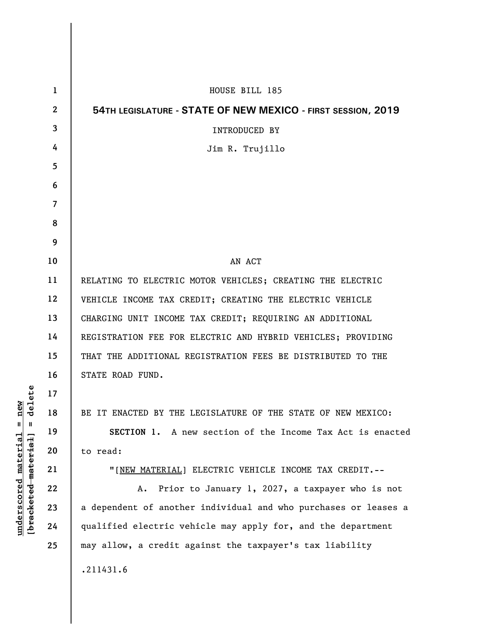| 1  | HOUSE BILL 185                                                  |
|----|-----------------------------------------------------------------|
| 2  | 54TH LEGISLATURE - STATE OF NEW MEXICO - FIRST SESSION, 2019    |
| 3  | <b>INTRODUCED BY</b>                                            |
| 4  | Jim R. Trujillo                                                 |
| 5  |                                                                 |
| 6  |                                                                 |
| 7  |                                                                 |
| 8  |                                                                 |
| 9  |                                                                 |
| 10 | AN ACT                                                          |
| 11 | RELATING TO ELECTRIC MOTOR VEHICLES; CREATING THE ELECTRIC      |
| 12 | VEHICLE INCOME TAX CREDIT; CREATING THE ELECTRIC VEHICLE        |
| 13 | CHARGING UNIT INCOME TAX CREDIT; REQUIRING AN ADDITIONAL        |
| 14 | REGISTRATION FEE FOR ELECTRIC AND HYBRID VEHICLES; PROVIDING    |
| 15 | THAT THE ADDITIONAL REGISTRATION FEES BE DISTRIBUTED TO THE     |
| 16 | STATE ROAD FUND.                                                |
| 17 |                                                                 |
| 18 | BE IT ENACTED BY THE LEGISLATURE OF THE STATE OF NEW MEXICO:    |
| 19 | SECTION 1. A new section of the Income Tax Act is enacted       |
| 20 | to read:                                                        |
| 21 | "[NEW MATERIAL] ELECTRIC VEHICLE INCOME TAX CREDIT.--           |
| 22 | Prior to January 1, 2027, a taxpayer who is not<br>Α.           |
| 23 | a dependent of another individual and who purchases or leases a |
| 24 | qualified electric vehicle may apply for, and the department    |
| 25 | may allow, a credit against the taxpayer's tax liability        |
|    | .211431.6                                                       |

**underscored material = new [bracketed material] = delete**

 $[bracketeed-materiat] = delete$  $underscored material = new$ 

 $\overline{\phantom{a}}$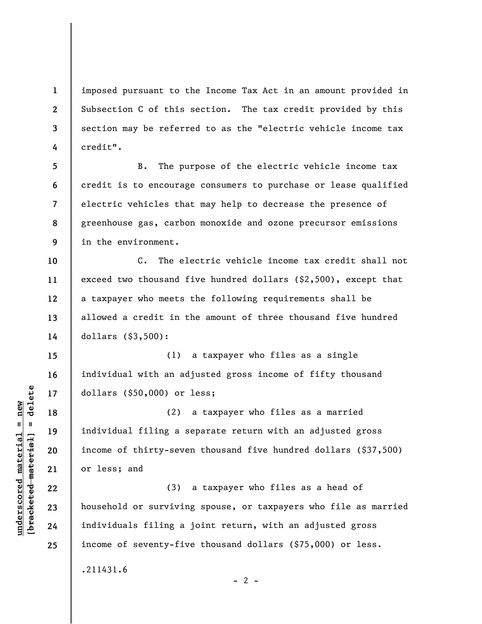**1 2 3 4**  imposed pursuant to the Income Tax Act in an amount provided in Subsection C of this section. The tax credit provided by this section may be referred to as the "electric vehicle income tax credit".

**5 6 7 8 9**  B. The purpose of the electric vehicle income tax credit is to encourage consumers to purchase or lease qualified electric vehicles that may help to decrease the presence of greenhouse gas, carbon monoxide and ozone precursor emissions in the environment.

**10 11 12 13 14**  C. The electric vehicle income tax credit shall not exceed two thousand five hundred dollars (\$2,500), except that a taxpayer who meets the following requirements shall be allowed a credit in the amount of three thousand five hundred dollars (\$3,500):

**15 16 17**  (1) a taxpayer who files as a single individual with an adjusted gross income of fifty thousand dollars (\$50,000) or less;

(2) a taxpayer who files as a married individual filing a separate return with an adjusted gross income of thirty-seven thousand five hundred dollars (\$37,500) or less; and

(3) a taxpayer who files as a head of household or surviving spouse, or taxpayers who file as married individuals filing a joint return, with an adjusted gross income of seventy-five thousand dollars (\$75,000) or less.

 $- 2 -$ 

.211431.6

 $\frac{1}{2}$  intereted material = delete **[bracketed material] = delete**  $underscored material = new$ **underscored material = new**

**18** 

**19** 

**20** 

**21** 

**22** 

**23** 

**24**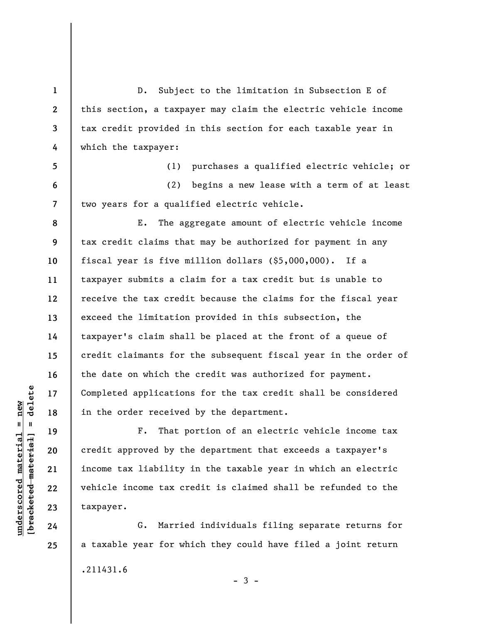D. Subject to the limitation in Subsection E of this section, a taxpayer may claim the electric vehicle income tax credit provided in this section for each taxable year in which the taxpayer:

(1) purchases a qualified electric vehicle; or (2) begins a new lease with a term of at least two years for a qualified electric vehicle.

E. The aggregate amount of electric vehicle income tax credit claims that may be authorized for payment in any fiscal year is five million dollars (\$5,000,000). If a taxpayer submits a claim for a tax credit but is unable to receive the tax credit because the claims for the fiscal year exceed the limitation provided in this subsection, the taxpayer's claim shall be placed at the front of a queue of credit claimants for the subsequent fiscal year in the order of the date on which the credit was authorized for payment. Completed applications for the tax credit shall be considered in the order received by the department.

F. That portion of an electric vehicle income tax credit approved by the department that exceeds a taxpayer's income tax liability in the taxable year in which an electric vehicle income tax credit is claimed shall be refunded to the taxpayer.

G. Married individuals filing separate returns for a taxable year for which they could have filed a joint return .211431.6  $-3 -$ 

 $\frac{1}{2}$  of  $\frac{1}{2}$  and  $\frac{1}{2}$  and  $\frac{1}{2}$  and  $\frac{1}{2}$  and  $\frac{1}{2}$  and  $\frac{1}{2}$  and  $\frac{1}{2}$  and  $\frac{1}{2}$  and  $\frac{1}{2}$  and  $\frac{1}{2}$  and  $\frac{1}{2}$  and  $\frac{1}{2}$  and  $\frac{1}{2}$  and  $\frac{1}{2}$  and  $\frac{1}{2}$  an **[bracketed material] = delete**  $underscored$  material = new **underscored material = new**

**24 25** 

**1** 

**2** 

**3** 

**4** 

**5** 

**6** 

**7** 

**8** 

**9** 

**10** 

**11** 

**12** 

**13** 

**14** 

**15** 

**16** 

**17** 

**18** 

**19** 

**20** 

**21** 

**22**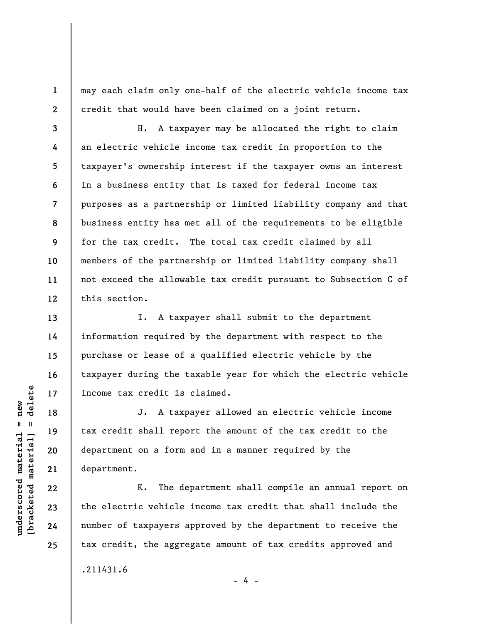may each claim only one-half of the electric vehicle income tax credit that would have been claimed on a joint return.

H. A taxpayer may be allocated the right to claim an electric vehicle income tax credit in proportion to the taxpayer's ownership interest if the taxpayer owns an interest in a business entity that is taxed for federal income tax purposes as a partnership or limited liability company and that business entity has met all of the requirements to be eligible for the tax credit. The total tax credit claimed by all members of the partnership or limited liability company shall not exceed the allowable tax credit pursuant to Subsection C of this section.

I. A taxpayer shall submit to the department information required by the department with respect to the purchase or lease of a qualified electric vehicle by the taxpayer during the taxable year for which the electric vehicle income tax credit is claimed.

J. A taxpayer allowed an electric vehicle income tax credit shall report the amount of the tax credit to the department on a form and in a manner required by the department.

K. The department shall compile an annual report on the electric vehicle income tax credit that shall include the number of taxpayers approved by the department to receive the tax credit, the aggregate amount of tax credits approved and

- 4 -

.211431.6

 $\frac{1}{2}$  intereted material = delete **[bracketed material] = delete**  $underscored material = new$ **underscored material = new**

**1** 

**2** 

**3** 

**4** 

**5** 

**6** 

**7** 

**8** 

**9** 

**10** 

**11** 

**12** 

**13** 

**14** 

**15** 

**16** 

**17** 

**18** 

**19** 

**20** 

**21** 

**22** 

**23** 

**24**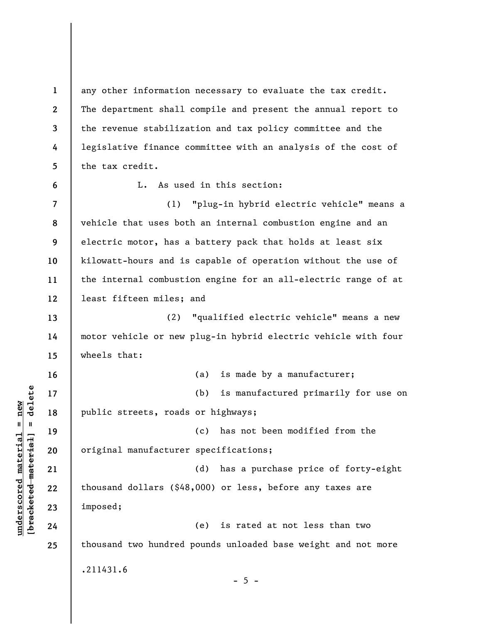**1 2 3 4 5 6 7 8 9 10 11 12 13 14 15 16 17 18 19 20 21 22 23 24 25**  any other information necessary to evaluate the tax credit. The department shall compile and present the annual report to the revenue stabilization and tax policy committee and the legislative finance committee with an analysis of the cost of the tax credit. L. As used in this section: (1) "plug-in hybrid electric vehicle" means a vehicle that uses both an internal combustion engine and an electric motor, has a battery pack that holds at least six kilowatt-hours and is capable of operation without the use of the internal combustion engine for an all-electric range of at least fifteen miles; and (2) "qualified electric vehicle" means a new motor vehicle or new plug-in hybrid electric vehicle with four wheels that: (a) is made by a manufacturer; (b) is manufactured primarily for use on public streets, roads or highways; (c) has not been modified from the original manufacturer specifications; (d) has a purchase price of forty-eight thousand dollars (\$48,000) or less, before any taxes are imposed; (e) is rated at not less than two thousand two hundred pounds unloaded base weight and not more .211431.6  $- 5 -$ 

 $\frac{1}{2}$  intereted material = delete **[bracketed material] = delete**  $underscored material = new$ **underscored material = new**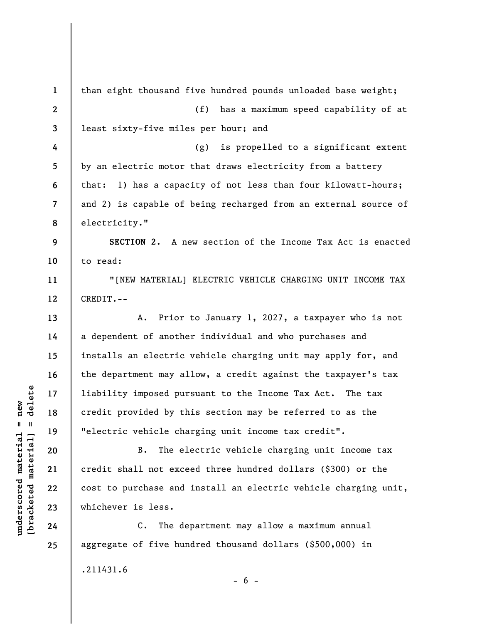**1 2 3 4 5 6 7 8 9 10 11 12 13 14 15 16 17 18 19 20 21 22 23 24 25**  than eight thousand five hundred pounds unloaded base weight; (f) has a maximum speed capability of at least sixty-five miles per hour; and (g) is propelled to a significant extent by an electric motor that draws electricity from a battery that: 1) has a capacity of not less than four kilowatt-hours; and 2) is capable of being recharged from an external source of electricity." **SECTION 2.** A new section of the Income Tax Act is enacted to read: "[NEW MATERIAL] ELECTRIC VEHICLE CHARGING UNIT INCOME TAX CREDIT.-- A. Prior to January 1, 2027, a taxpayer who is not a dependent of another individual and who purchases and installs an electric vehicle charging unit may apply for, and the department may allow, a credit against the taxpayer's tax liability imposed pursuant to the Income Tax Act. The tax credit provided by this section may be referred to as the "electric vehicle charging unit income tax credit". B. The electric vehicle charging unit income tax credit shall not exceed three hundred dollars (\$300) or the cost to purchase and install an electric vehicle charging unit, whichever is less. C. The department may allow a maximum annual aggregate of five hundred thousand dollars (\$500,000) in .211431.6  $- 6 -$ 

 $\frac{1}{2}$  intereted material = delete **[bracketed material] = delete**  $underscored material = new$ **underscored material = new**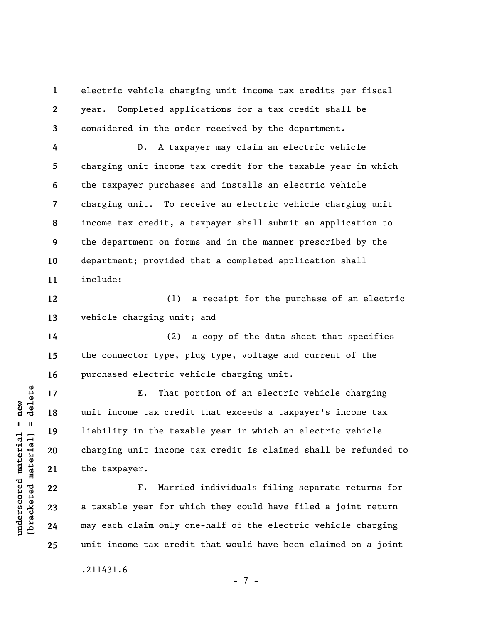**1 2 3**  electric vehicle charging unit income tax credits per fiscal year. Completed applications for a tax credit shall be considered in the order received by the department.

**4 5 6 7 8 9 10 11**  D. A taxpayer may claim an electric vehicle charging unit income tax credit for the taxable year in which the taxpayer purchases and installs an electric vehicle charging unit. To receive an electric vehicle charging unit income tax credit, a taxpayer shall submit an application to the department on forms and in the manner prescribed by the department; provided that a completed application shall include:

(1) a receipt for the purchase of an electric vehicle charging unit; and

(2) a copy of the data sheet that specifies the connector type, plug type, voltage and current of the purchased electric vehicle charging unit.

E. That portion of an electric vehicle charging unit income tax credit that exceeds a taxpayer's income tax liability in the taxable year in which an electric vehicle charging unit income tax credit is claimed shall be refunded to the taxpayer.

F. Married individuals filing separate returns for a taxable year for which they could have filed a joint return may each claim only one-half of the electric vehicle charging unit income tax credit that would have been claimed on a joint

- 7 -

.211431.6

 $b$ racketed material] = delete **[bracketed material] = delete**  $underscored material = new$ **underscored material = new**

**12** 

**13** 

**14** 

**15** 

**16** 

**17** 

**18** 

**19** 

**20** 

**21** 

**22** 

**23** 

**24**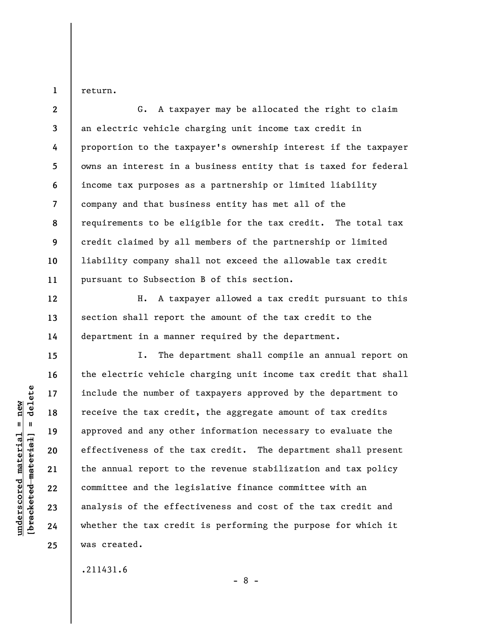return.

**1** 

**12** 

**13** 

**14** 

**15** 

**16** 

**17** 

**18** 

**19** 

**20** 

**21** 

**22** 

**23** 

**24** 

**25** 

**2 3 4 5 6 7 8 9 10 11**  G. A taxpayer may be allocated the right to claim an electric vehicle charging unit income tax credit in proportion to the taxpayer's ownership interest if the taxpayer owns an interest in a business entity that is taxed for federal income tax purposes as a partnership or limited liability company and that business entity has met all of the requirements to be eligible for the tax credit. The total tax credit claimed by all members of the partnership or limited liability company shall not exceed the allowable tax credit pursuant to Subsection B of this section.

H. A taxpayer allowed a tax credit pursuant to this section shall report the amount of the tax credit to the department in a manner required by the department.

I. The department shall compile an annual report on the electric vehicle charging unit income tax credit that shall include the number of taxpayers approved by the department to receive the tax credit, the aggregate amount of tax credits approved and any other information necessary to evaluate the effectiveness of the tax credit. The department shall present the annual report to the revenue stabilization and tax policy committee and the legislative finance committee with an analysis of the effectiveness and cost of the tax credit and whether the tax credit is performing the purpose for which it was created.

.211431.6

delete **[bracketed material] = delete**  $underscored material = new$ **underscored material = new**  $[breaked$  material =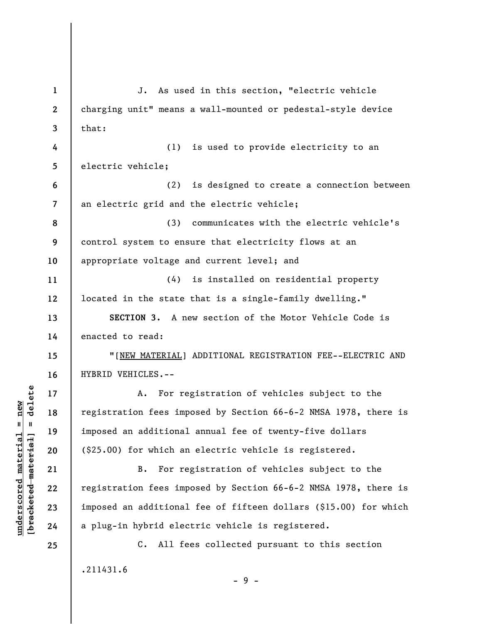**1 2 3 4 5 6 7 8 9 10 11 12 13 14 15 16 17 18 19 20 21 22 23 24 25**  J. As used in this section, "electric vehicle charging unit" means a wall-mounted or pedestal-style device that: (1) is used to provide electricity to an electric vehicle; (2) is designed to create a connection between an electric grid and the electric vehicle; (3) communicates with the electric vehicle's control system to ensure that electricity flows at an appropriate voltage and current level; and (4) is installed on residential property located in the state that is a single-family dwelling." **SECTION 3.** A new section of the Motor Vehicle Code is enacted to read: "[NEW MATERIAL] ADDITIONAL REGISTRATION FEE--ELECTRIC AND HYBRID VEHICLES.-- A. For registration of vehicles subject to the registration fees imposed by Section 66-6-2 NMSA 1978, there is imposed an additional annual fee of twenty-five dollars (\$25.00) for which an electric vehicle is registered. B. For registration of vehicles subject to the registration fees imposed by Section 66-6-2 NMSA 1978, there is imposed an additional fee of fifteen dollars (\$15.00) for which a plug-in hybrid electric vehicle is registered. C. All fees collected pursuant to this section .211431.6 - 9 -

 $b$ racketed material] = delete **[bracketed material] = delete**  $underscored material = new$ **underscored material = new**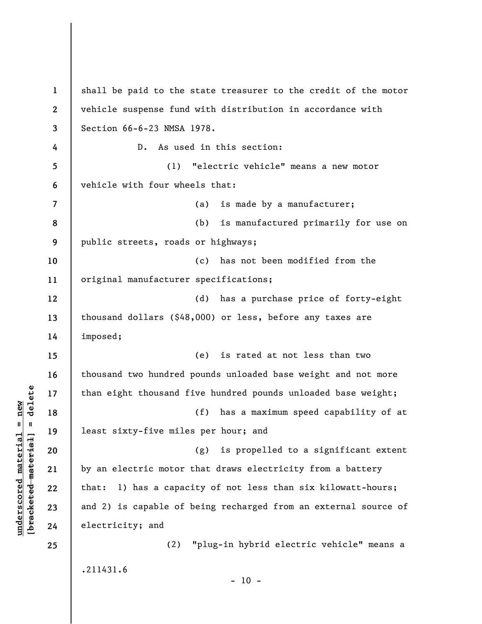**1 2 3 4 5 6 7 8 9 10 11 12 13 14 15 16 17 18 19 20 21 22 23 24 25**  shall be paid to the state treasurer to the credit of the motor vehicle suspense fund with distribution in accordance with Section 66-6-23 NMSA 1978. D. As used in this section: (1) "electric vehicle" means a new motor vehicle with four wheels that: (a) is made by a manufacturer; (b) is manufactured primarily for use on public streets, roads or highways; (c) has not been modified from the original manufacturer specifications; (d) has a purchase price of forty-eight thousand dollars (\$48,000) or less, before any taxes are imposed; (e) is rated at not less than two thousand two hundred pounds unloaded base weight and not more than eight thousand five hundred pounds unloaded base weight; (f) has a maximum speed capability of at least sixty-five miles per hour; and (g) is propelled to a significant extent by an electric motor that draws electricity from a battery that: 1) has a capacity of not less than six kilowatt-hours; and 2) is capable of being recharged from an external source of electricity; and (2) "plug-in hybrid electric vehicle" means a .211431.6  $-10 -$ 

**underscored material = new [bracketed material] = delete**

 $\frac{1}{2}$  of  $\frac{1}{2}$  and  $\frac{1}{2}$  and  $\frac{1}{2}$  and  $\frac{1}{2}$  and  $\frac{1}{2}$  and  $\frac{1}{2}$  and  $\frac{1}{2}$  and  $\frac{1}{2}$  and  $\frac{1}{2}$  and  $\frac{1}{2}$  and  $\frac{1}{2}$  and  $\frac{1}{2}$  and  $\frac{1}{2}$  and  $\frac{1}{2}$  and  $\frac{1}{2}$  an  $underscored material = new$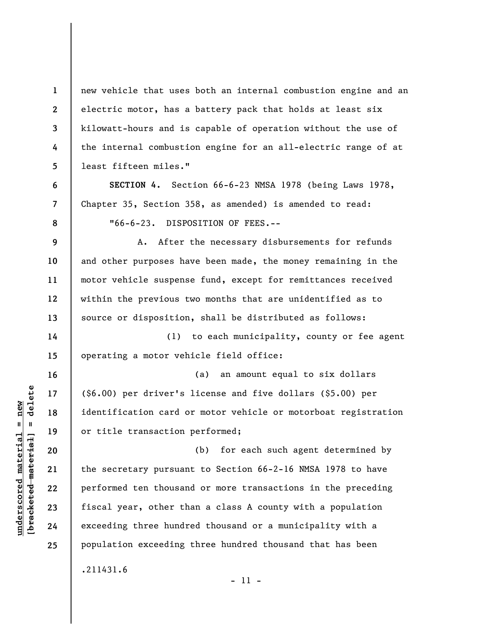new vehicle that uses both an internal combustion engine and an electric motor, has a battery pack that holds at least six kilowatt-hours and is capable of operation without the use of the internal combustion engine for an all-electric range of at least fifteen miles."

**SECTION 4.** Section 66-6-23 NMSA 1978 (being Laws 1978, Chapter 35, Section 358, as amended) is amended to read: "66-6-23. DISPOSITION OF FEES.--

A. After the necessary disbursements for refunds and other purposes have been made, the money remaining in the motor vehicle suspense fund, except for remittances received within the previous two months that are unidentified as to source or disposition, shall be distributed as follows:

(1) to each municipality, county or fee agent operating a motor vehicle field office:

(a) an amount equal to six dollars (\$6.00) per driver's license and five dollars (\$5.00) per identification card or motor vehicle or motorboat registration or title transaction performed;

(b) for each such agent determined by the secretary pursuant to Section 66-2-16 NMSA 1978 to have performed ten thousand or more transactions in the preceding fiscal year, other than a class A county with a population exceeding three hundred thousand or a municipality with a population exceeding three hundred thousand that has been

.211431.6

 $\frac{1}{2}$  intereted material = delete **[bracketed material] = delete**  $underscored material = new$ **underscored material = new**

**1** 

**2** 

**3** 

**4** 

**5** 

**6** 

**7** 

**8** 

**9** 

**10** 

**11** 

**12** 

**13** 

**14** 

**15** 

**16** 

**17** 

**18** 

**19** 

**20** 

**21** 

**22** 

**23** 

**24** 

**25** 

- 11 -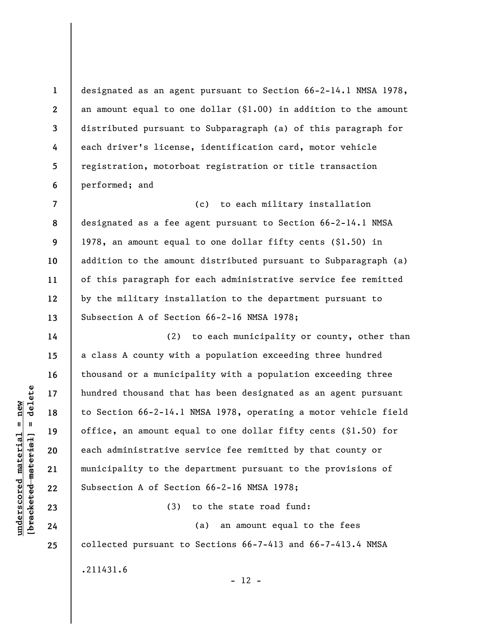designated as an agent pursuant to Section 66-2-14.1 NMSA 1978, an amount equal to one dollar (\$1.00) in addition to the amount distributed pursuant to Subparagraph (a) of this paragraph for each driver's license, identification card, motor vehicle registration, motorboat registration or title transaction performed; and

**7 8 9 10 11 12 13**  (c) to each military installation designated as a fee agent pursuant to Section 66-2-14.1 NMSA 1978, an amount equal to one dollar fifty cents (\$1.50) in addition to the amount distributed pursuant to Subparagraph (a) of this paragraph for each administrative service fee remitted by the military installation to the department pursuant to Subsection A of Section 66-2-16 NMSA 1978;

(2) to each municipality or county, other than a class A county with a population exceeding three hundred thousand or a municipality with a population exceeding three hundred thousand that has been designated as an agent pursuant to Section 66-2-14.1 NMSA 1978, operating a motor vehicle field office, an amount equal to one dollar fifty cents (\$1.50) for each administrative service fee remitted by that county or municipality to the department pursuant to the provisions of Subsection A of Section 66-2-16 NMSA 1978;

(3) to the state road fund:

 $- 12 -$ 

(a) an amount equal to the fees collected pursuant to Sections 66-7-413 and 66-7-413.4 NMSA

.211431.6

 $\frac{1}{2}$  intereted material = delete **[bracketed material] = delete**  $underscored material = new$ **underscored material = new**

**1** 

**2** 

**3** 

**4** 

**5** 

**6** 

**14** 

**15** 

**16** 

**17** 

**18** 

**19** 

**20** 

**21** 

**22** 

**23** 

**24**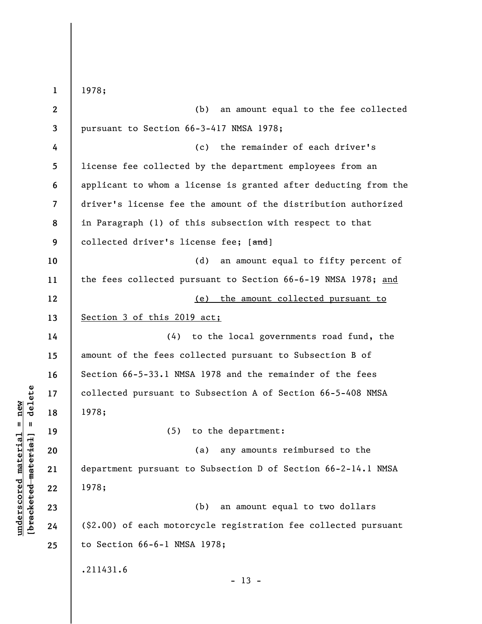**1 2 3 4 5 6 7 8 9 10 11 12 13 14 15 16 17 18 19 20 21 22 23 24 25**  1978; (b) an amount equal to the fee collected pursuant to Section 66-3-417 NMSA 1978; (c) the remainder of each driver's license fee collected by the department employees from an applicant to whom a license is granted after deducting from the driver's license fee the amount of the distribution authorized in Paragraph (1) of this subsection with respect to that collected driver's license fee; [and] (d) an amount equal to fifty percent of the fees collected pursuant to Section 66-6-19 NMSA 1978; and (e) the amount collected pursuant to Section 3 of this 2019 act; (4) to the local governments road fund, the amount of the fees collected pursuant to Subsection B of Section 66-5-33.1 NMSA 1978 and the remainder of the fees collected pursuant to Subsection A of Section 66-5-408 NMSA 1978; (5) to the department: (a) any amounts reimbursed to the department pursuant to Subsection D of Section 66-2-14.1 NMSA 1978; (b) an amount equal to two dollars (\$2.00) of each motorcycle registration fee collected pursuant to Section 66-6-1 NMSA 1978; .211431.6  $- 13 -$ 

**underscored material = new [bracketed material] = delete**

 $\frac{1}{2}$  of  $\frac{1}{2}$  and  $\frac{1}{2}$  and  $\frac{1}{2}$  and  $\frac{1}{2}$  and  $\frac{1}{2}$  and  $\frac{1}{2}$  and  $\frac{1}{2}$  and  $\frac{1}{2}$  and  $\frac{1}{2}$  and  $\frac{1}{2}$  and  $\frac{1}{2}$  and  $\frac{1}{2}$  and  $\frac{1}{2}$  and  $\frac{1}{2}$  and  $\frac{1}{2}$  an  $underscored material = new$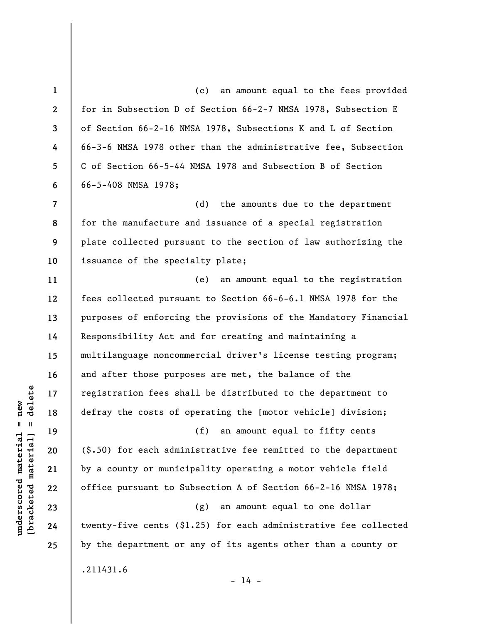**1 2 3 4 5 6 7 8 9 10 11 12 13 14 15 16 17 18 19 20 21 22 23 24 25**  (c) an amount equal to the fees provided for in Subsection D of Section 66-2-7 NMSA 1978, Subsection E of Section 66-2-16 NMSA 1978, Subsections K and L of Section 66-3-6 NMSA 1978 other than the administrative fee, Subsection C of Section 66-5-44 NMSA 1978 and Subsection B of Section 66-5-408 NMSA 1978; (d) the amounts due to the department for the manufacture and issuance of a special registration plate collected pursuant to the section of law authorizing the issuance of the specialty plate; (e) an amount equal to the registration fees collected pursuant to Section 66-6-6.1 NMSA 1978 for the purposes of enforcing the provisions of the Mandatory Financial Responsibility Act and for creating and maintaining a multilanguage noncommercial driver's license testing program; and after those purposes are met, the balance of the registration fees shall be distributed to the department to defray the costs of operating the [motor vehicle] division; (f) an amount equal to fifty cents (\$.50) for each administrative fee remitted to the department by a county or municipality operating a motor vehicle field office pursuant to Subsection A of Section 66-2-16 NMSA 1978; (g) an amount equal to one dollar twenty-five cents (\$1.25) for each administrative fee collected by the department or any of its agents other than a county or .211431.6  $- 14 -$ 

 $\frac{1}{2}$  of  $\frac{1}{2}$  and  $\frac{1}{2}$  and  $\frac{1}{2}$  and  $\frac{1}{2}$  and  $\frac{1}{2}$  and  $\frac{1}{2}$  and  $\frac{1}{2}$  and  $\frac{1}{2}$  and  $\frac{1}{2}$  and  $\frac{1}{2}$  and  $\frac{1}{2}$  and  $\frac{1}{2}$  and  $\frac{1}{2}$  and  $\frac{1}{2}$  and  $\frac{1}{2}$  an **[bracketed material] = delete**  $underscored material = new$ **underscored material = new**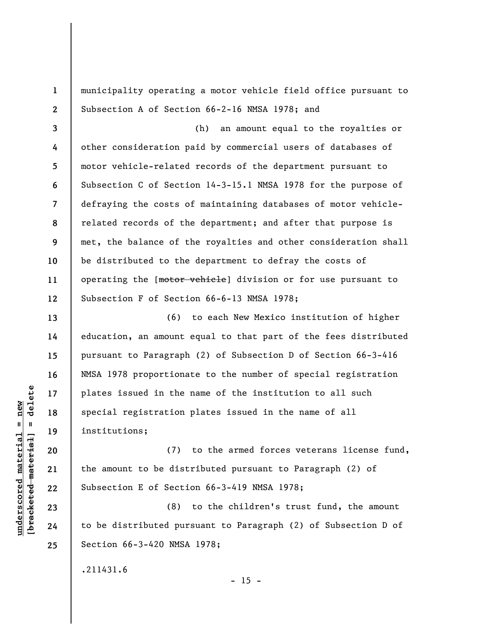municipality operating a motor vehicle field office pursuant to Subsection A of Section 66-2-16 NMSA 1978; and

**3 4 5 6 7 8 9 10 11 12**  (h) an amount equal to the royalties or other consideration paid by commercial users of databases of motor vehicle-related records of the department pursuant to Subsection C of Section 14-3-15.1 NMSA 1978 for the purpose of defraying the costs of maintaining databases of motor vehiclerelated records of the department; and after that purpose is met, the balance of the royalties and other consideration shall be distributed to the department to defray the costs of operating the [motor vehicle] division or for use pursuant to Subsection F of Section 66-6-13 NMSA 1978;

(6) to each New Mexico institution of higher education, an amount equal to that part of the fees distributed pursuant to Paragraph (2) of Subsection D of Section 66-3-416 NMSA 1978 proportionate to the number of special registration plates issued in the name of the institution to all such special registration plates issued in the name of all institutions;

(7) to the armed forces veterans license fund, the amount to be distributed pursuant to Paragraph (2) of Subsection E of Section 66-3-419 NMSA 1978;

(8) to the children's trust fund, the amount to be distributed pursuant to Paragraph (2) of Subsection D of Section 66-3-420 NMSA 1978;

 $- 15 -$ 

.211431.6

 $\frac{1}{2}$  intereted material = delete **[bracketed material] = delete**  $underscored material = new$ **underscored material = new**

**1** 

**2** 

**13** 

**14** 

**15** 

**16** 

**17** 

**18** 

**19** 

**20** 

**21** 

**22** 

**23** 

**24**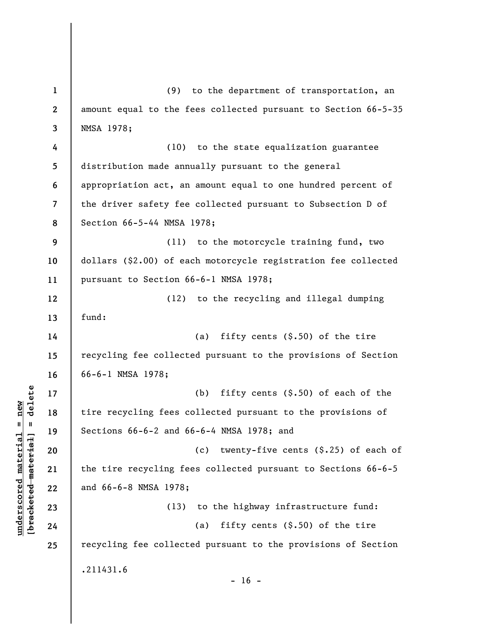**1 2 3 4 5 6 7 8 9 10 11 12 13 14 15 16 17 18 19 20 21 22 23 24 25**  (9) to the department of transportation, an amount equal to the fees collected pursuant to Section 66-5-35 NMSA 1978; (10) to the state equalization guarantee distribution made annually pursuant to the general appropriation act, an amount equal to one hundred percent of the driver safety fee collected pursuant to Subsection D of Section 66-5-44 NMSA 1978; (11) to the motorcycle training fund, two dollars (\$2.00) of each motorcycle registration fee collected pursuant to Section 66-6-1 NMSA 1978; (12) to the recycling and illegal dumping fund: (a) fifty cents  $(\hat{\xi}, 50)$  of the tire recycling fee collected pursuant to the provisions of Section 66-6-1 NMSA 1978; (b) fifty cents (\$.50) of each of the tire recycling fees collected pursuant to the provisions of Sections 66-6-2 and 66-6-4 NMSA 1978; and (c) twenty-five cents (\$.25) of each of the tire recycling fees collected pursuant to Sections 66-6-5 and 66-6-8 NMSA 1978; (13) to the highway infrastructure fund: (a) fifty cents  $(\hat{\xi}, 50)$  of the tire recycling fee collected pursuant to the provisions of Section .211431.6  $- 16 -$ 

**underscored material = new [bracketed material] = delete**

 $\frac{1}{2}$  intereted material = delete  $underscored material = new$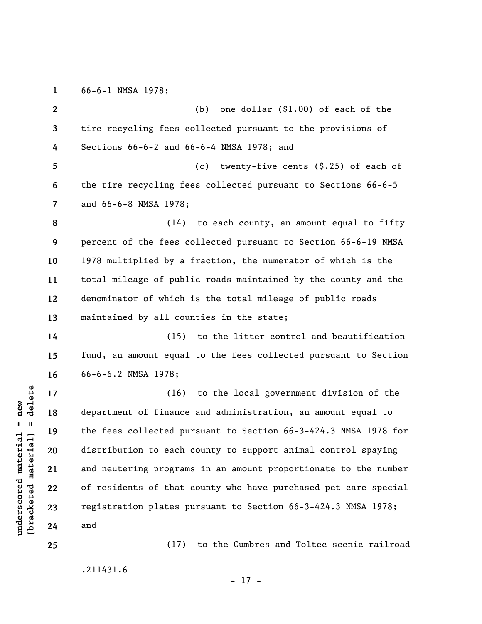**1**  66-6-1 NMSA 1978;

**2 3 4 5 6 7 8 9 10 11 12 13 14 15 16 17 18 19 20 21 22 23 24**  (b) one dollar (\$1.00) of each of the tire recycling fees collected pursuant to the provisions of Sections 66-6-2 and 66-6-4 NMSA 1978; and (c) twenty-five cents (\$.25) of each of the tire recycling fees collected pursuant to Sections 66-6-5 and 66-6-8 NMSA 1978; (14) to each county, an amount equal to fifty percent of the fees collected pursuant to Section 66-6-19 NMSA 1978 multiplied by a fraction, the numerator of which is the total mileage of public roads maintained by the county and the denominator of which is the total mileage of public roads maintained by all counties in the state; (15) to the litter control and beautification fund, an amount equal to the fees collected pursuant to Section 66-6-6.2 NMSA 1978; (16) to the local government division of the department of finance and administration, an amount equal to the fees collected pursuant to Section 66-3-424.3 NMSA 1978 for distribution to each county to support animal control spaying and neutering programs in an amount proportionate to the number of residents of that county who have purchased pet care special registration plates pursuant to Section 66-3-424.3 NMSA 1978; and

.211431.6

**25** 

**underscored material = new [bracketed material] = delete**

 $\frac{1}{2}$  of  $\frac{1}{2}$  and  $\frac{1}{2}$  and  $\frac{1}{2}$  and  $\frac{1}{2}$  and  $\frac{1}{2}$  and  $\frac{1}{2}$  and  $\frac{1}{2}$  and  $\frac{1}{2}$  and  $\frac{1}{2}$  and  $\frac{1}{2}$  and  $\frac{1}{2}$  and  $\frac{1}{2}$  and  $\frac{1}{2}$  and  $\frac{1}{2}$  and  $\frac{1}{2}$  an  $underscored material = new$ 

(17) to the Cumbres and Toltec scenic railroad

- 17 -